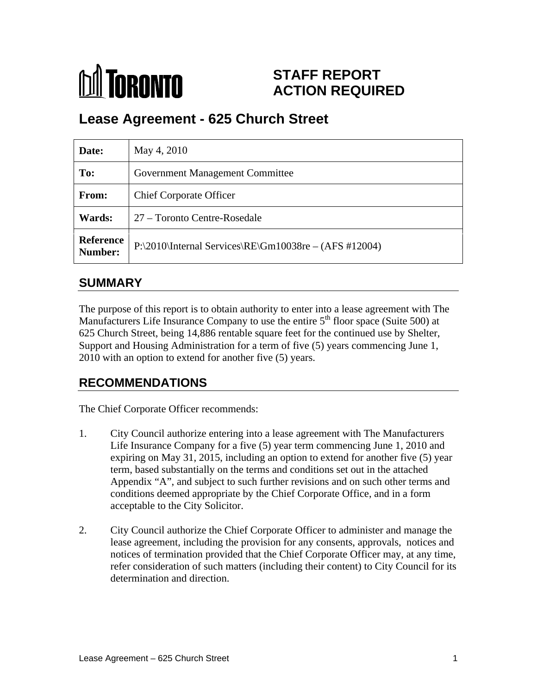# **MA** TORONTO

## **STAFF REPORT ACTION REQUIRED**

# **Lease Agreement - 625 Church Street**

| Date:                | May 4, 2010                                                   |
|----------------------|---------------------------------------------------------------|
| To:                  | <b>Government Management Committee</b>                        |
| From:                | <b>Chief Corporate Officer</b>                                |
| <b>Wards:</b>        | 27 – Toronto Centre-Rosedale                                  |
| Reference<br>Number: | $\vert$ P:\2010\Internal Services\RE\Gm10038re – (AFS #12004) |

## **SUMMARY**

The purpose of this report is to obtain authority to enter into a lease agreement with The Manufacturers Life Insurance Company to use the entire  $5<sup>th</sup>$  floor space (Suite 500) at 625 Church Street, being 14,886 rentable square feet for the continued use by Shelter, Support and Housing Administration for a term of five (5) years commencing June 1, 2010 with an option to extend for another five (5) years.

## **RECOMMENDATIONS**

The Chief Corporate Officer recommends:

- 1. City Council authorize entering into a lease agreement with The Manufacturers Life Insurance Company for a five (5) year term commencing June 1, 2010 and expiring on May 31, 2015, including an option to extend for another five (5) year term, based substantially on the terms and conditions set out in the attached Appendix "A", and subject to such further revisions and on such other terms and conditions deemed appropriate by the Chief Corporate Office, and in a form acceptable to the City Solicitor.
- 2. City Council authorize the Chief Corporate Officer to administer and manage the lease agreement, including the provision for any consents, approvals, notices and notices of termination provided that the Chief Corporate Officer may, at any time, refer consideration of such matters (including their content) to City Council for its determination and direction.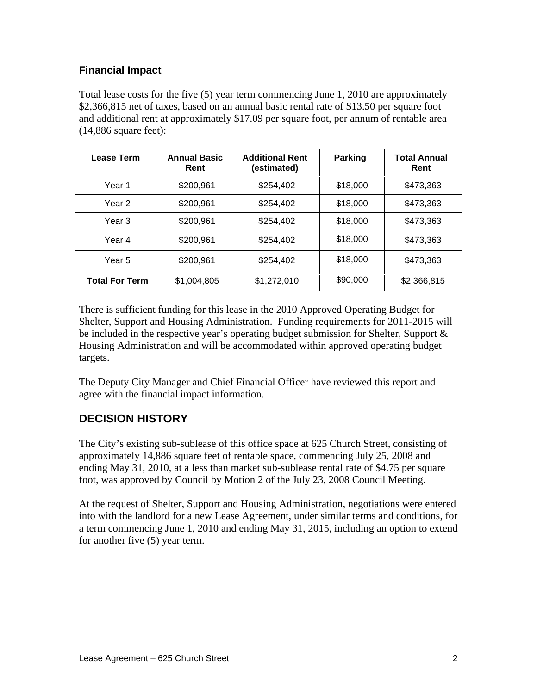#### **Financial Impact**

Total lease costs for the five (5) year term commencing June 1, 2010 are approximately \$2,366,815 net of taxes, based on an annual basic rental rate of \$13.50 per square foot and additional rent at approximately \$17.09 per square foot, per annum of rentable area (14,886 square feet):

| <b>Lease Term</b>     | <b>Annual Basic</b><br>Rent | <b>Additional Rent</b><br>(estimated) | <b>Parking</b> | <b>Total Annual</b><br>Rent |
|-----------------------|-----------------------------|---------------------------------------|----------------|-----------------------------|
| Year 1                | \$200,961                   | \$254,402                             | \$18,000       | \$473,363                   |
| Year 2                | \$200,961                   | \$254,402                             | \$18,000       | \$473,363                   |
| Year 3                | \$200,961                   | \$254,402                             | \$18,000       | \$473,363                   |
| Year 4                | \$200,961                   | \$254,402                             | \$18,000       | \$473,363                   |
| Year 5                | \$200,961                   | \$254,402                             | \$18,000       | \$473,363                   |
| <b>Total For Term</b> | \$1,004,805                 | \$1,272,010                           | \$90,000       | \$2,366,815                 |

There is sufficient funding for this lease in the 2010 Approved Operating Budget for Shelter, Support and Housing Administration. Funding requirements for 2011-2015 will be included in the respective year's operating budget submission for Shelter, Support & Housing Administration and will be accommodated within approved operating budget targets.

The Deputy City Manager and Chief Financial Officer have reviewed this report and agree with the financial impact information.

#### **DECISION HISTORY**

The City's existing sub-sublease of this office space at 625 Church Street, consisting of approximately 14,886 square feet of rentable space, commencing July 25, 2008 and ending May 31, 2010, at a less than market sub-sublease rental rate of \$4.75 per square foot, was approved by Council by Motion 2 of the July 23, 2008 Council Meeting.

At the request of Shelter, Support and Housing Administration, negotiations were entered into with the landlord for a new Lease Agreement, under similar terms and conditions, for a term commencing June 1, 2010 and ending May 31, 2015, including an option to extend for another five (5) year term.